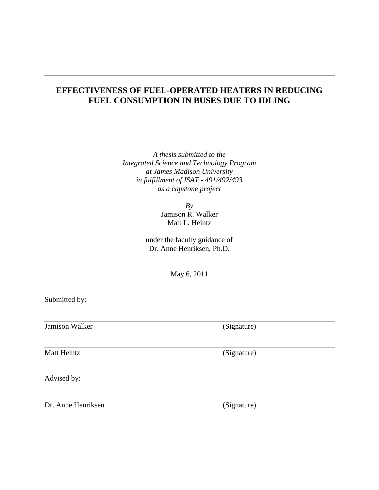### **EFFECTIVENESS OF FUEL-OPERATED HEATERS IN REDUCING FUEL CONSUMPTION IN BUSES DUE TO IDLING**

*A thesis submitted to the Integrated Science and Technology Program at James Madison University in fulfillment of ISAT - 491/492/493 as a capstone project*

> *By* Jamison R. Walker Matt L. Heintz

under the faculty guidance of Dr. Anne Henriksen, Ph.D.

May 6, 2011

Submitted by:

Jamison Walker (Signature)

Matt Heintz (Signature)

Advised by:

Dr. Anne Henriksen (Signature)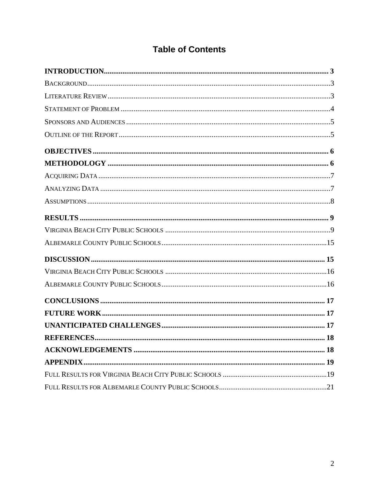# **Table of Contents**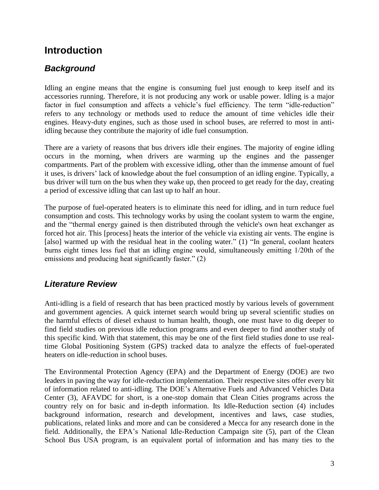# <span id="page-2-0"></span>**Introduction**

### <span id="page-2-1"></span>*Background*

Idling an engine means that the engine is consuming fuel just enough to keep itself and its accessories running. Therefore, it is not producing any work or usable power. Idling is a major factor in fuel consumption and affects a vehicle's fuel efficiency. The term "idle-reduction" refers to any technology or methods used to reduce the amount of time vehicles idle their engines. Heavy-duty engines, such as those used in school buses, are referred to most in antiidling because they contribute the majority of idle fuel consumption.

There are a variety of reasons that bus drivers idle their engines. The majority of engine idling occurs in the morning, when drivers are warming up the engines and the passenger compartments. Part of the problem with excessive idling, other than the immense amount of fuel it uses, is drivers' lack of knowledge about the fuel consumption of an idling engine. Typically, a bus driver will turn on the bus when they wake up, then proceed to get ready for the day, creating a period of excessive idling that can last up to half an hour.

The purpose of fuel-operated heaters is to eliminate this need for idling, and in turn reduce fuel consumption and costs. This technology works by using the coolant system to warm the engine, and the "thermal energy gained is then distributed through the vehicle's own heat exchanger as forced hot air. This [process] heats the interior of the vehicle via existing air vents. The engine is [also] warmed up with the residual heat in the cooling water." (1) "In general, coolant heaters burns eight times less fuel that an idling engine would, simultaneously emitting 1/20th of the emissions and producing heat significantly faster." (2)

### <span id="page-2-2"></span>*Literature Review*

Anti-idling is a field of research that has been practiced mostly by various levels of government and government agencies. A quick internet search would bring up several scientific studies on the harmful effects of diesel exhaust to human health, though, one must have to dig deeper to find field studies on previous idle reduction programs and even deeper to find another study of this specific kind. With that statement, this may be one of the first field studies done to use realtime Global Positioning System (GPS) tracked data to analyze the effects of fuel-operated heaters on idle-reduction in school buses.

The Environmental Protection Agency (EPA) and the Department of Energy (DOE) are two leaders in paving the way for idle-reduction implementation. Their respective sites offer every bit of information related to anti-idling. The DOE"s Alternative Fuels and Advanced Vehicles Data Center (3), AFAVDC for short, is a one-stop domain that Clean Cities programs across the country rely on for basic and in-depth information. Its Idle-Reduction section (4) includes background information, research and development, incentives and laws, case studies, publications, related links and more and can be considered a Mecca for any research done in the field. Additionally, the EPA"s National Idle-Reduction Campaign site (5), part of the Clean School Bus USA program, is an equivalent portal of information and has many ties to the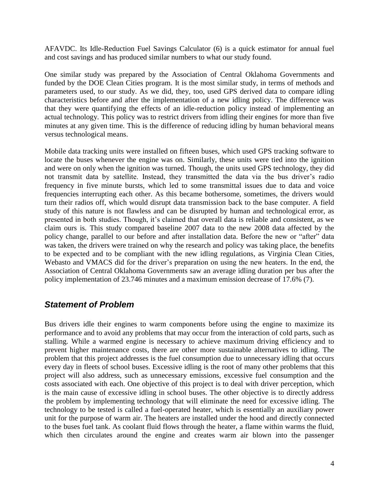AFAVDC. Its Idle-Reduction Fuel Savings Calculator (6) is a quick estimator for annual fuel and cost savings and has produced similar numbers to what our study found.

One similar study was prepared by the Association of Central Oklahoma Governments and funded by the DOE Clean Cities program. It is the most similar study, in terms of methods and parameters used, to our study. As we did, they, too, used GPS derived data to compare idling characteristics before and after the implementation of a new idling policy. The difference was that they were quantifying the effects of an idle-reduction policy instead of implementing an actual technology. This policy was to restrict drivers from idling their engines for more than five minutes at any given time. This is the difference of reducing idling by human behavioral means versus technological means.

Mobile data tracking units were installed on fifteen buses, which used GPS tracking software to locate the buses whenever the engine was on. Similarly, these units were tied into the ignition and were on only when the ignition was turned. Though, the units used GPS technology, they did not transmit data by satellite. Instead, they transmitted the data via the bus driver"s radio frequency in five minute bursts, which led to some transmittal issues due to data and voice frequencies interrupting each other. As this became bothersome, sometimes, the drivers would turn their radios off, which would disrupt data transmission back to the base computer. A field study of this nature is not flawless and can be disrupted by human and technological error, as presented in both studies. Though, it's claimed that overall data is reliable and consistent, as we claim ours is. This study compared baseline 2007 data to the new 2008 data affected by the policy change, parallel to our before and after installation data. Before the new or "after" data was taken, the drivers were trained on why the research and policy was taking place, the benefits to be expected and to be compliant with the new idling regulations, as Virginia Clean Cities, Webasto and VMACS did for the driver's preparation on using the new heaters. In the end, the Association of Central Oklahoma Governments saw an average idling duration per bus after the policy implementation of 23.746 minutes and a maximum emission decrease of 17.6% (7).

#### <span id="page-3-0"></span>*Statement of Problem*

Bus drivers idle their engines to warm components before using the engine to maximize its performance and to avoid any problems that may occur from the interaction of cold parts, such as stalling. While a warmed engine is necessary to achieve maximum driving efficiency and to prevent higher maintenance costs, there are other more sustainable alternatives to idling. The problem that this project addresses is the fuel consumption due to unnecessary idling that occurs every day in fleets of school buses. Excessive idling is the root of many other problems that this project will also address, such as unnecessary emissions, excessive fuel consumption and the costs associated with each. One objective of this project is to deal with driver perception, which is the main cause of excessive idling in school buses. The other objective is to directly address the problem by implementing technology that will eliminate the need for excessive idling. The technology to be tested is called a fuel-operated heater, which is essentially an auxiliary power unit for the purpose of warm air. The heaters are installed under the hood and directly connected to the buses fuel tank. As coolant fluid flows through the heater, a flame within warms the fluid, which then circulates around the engine and creates warm air blown into the passenger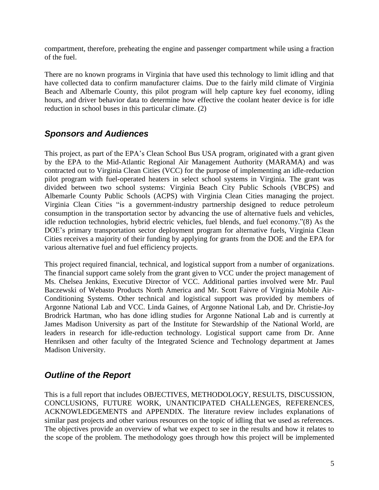compartment, therefore, preheating the engine and passenger compartment while using a fraction of the fuel.

There are no known programs in Virginia that have used this technology to limit idling and that have collected data to confirm manufacturer claims. Due to the fairly mild climate of Virginia Beach and Albemarle County, this pilot program will help capture key fuel economy, idling hours, and driver behavior data to determine how effective the coolant heater device is for idle reduction in school buses in this particular climate. (2)

### <span id="page-4-0"></span>*Sponsors and Audiences*

This project, as part of the EPA"s Clean School Bus USA program, originated with a grant given by the EPA to the Mid-Atlantic Regional Air Management Authority (MARAMA) and was contracted out to Virginia Clean Cities (VCC) for the purpose of implementing an idle-reduction pilot program with fuel-operated heaters in select school systems in Virginia. The grant was divided between two school systems: Virginia Beach City Public Schools (VBCPS) and Albemarle County Public Schools (ACPS) with Virginia Clean Cities managing the project. Virginia Clean Cities "is a government-industry partnership designed to reduce petroleum consumption in the transportation sector by advancing the use of alternative fuels and vehicles, idle reduction technologies, hybrid electric vehicles, fuel blends, and fuel economy."(8) As the DOE"s primary transportation sector deployment program for alternative fuels, Virginia Clean Cities receives a majority of their funding by applying for grants from the DOE and the EPA for various alternative fuel and fuel efficiency projects.

This project required financial, technical, and logistical support from a number of organizations. The financial support came solely from the grant given to VCC under the project management of Ms. Chelsea Jenkins, Executive Director of VCC. Additional parties involved were Mr. Paul Baczewski of Webasto Products North America and Mr. Scott Faivre of Virginia Mobile Air-Conditioning Systems. Other technical and logistical support was provided by members of Argonne National Lab and VCC. Linda Gaines, of Argonne National Lab, and Dr. Christie-Joy Brodrick Hartman, who has done idling studies for Argonne National Lab and is currently at James Madison University as part of the Institute for Stewardship of the National World, are leaders in research for idle-reduction technology. Logistical support came from Dr. Anne Henriksen and other faculty of the Integrated Science and Technology department at James Madison University.

### <span id="page-4-1"></span>*Outline of the Report*

This is a full report that includes OBJECTIVES, METHODOLOGY, RESULTS, DISCUSSION, CONCLUSIONS, FUTURE WORK, UNANTICIPATED CHALLENGES, REFERENCES, ACKNOWLEDGEMENTS and APPENDIX. The literature review includes explanations of similar past projects and other various resources on the topic of idling that we used as references. The objectives provide an overview of what we expect to see in the results and how it relates to the scope of the problem. The methodology goes through how this project will be implemented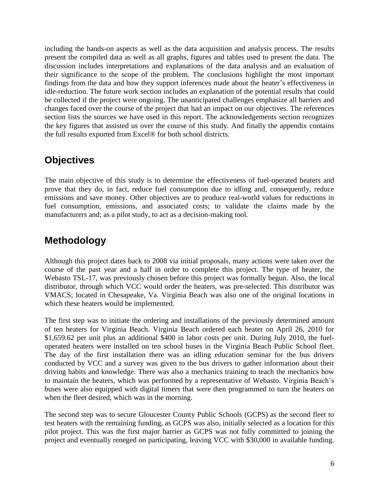including the hands-on aspects as well as the data acquisition and analysis process. The results present the compiled data as well as all graphs, figures and tables used to present the data. The discussion includes interpretations and explanations of the data analysis and an evaluation of their significance to the scope of the problem. The conclusions highlight the most important findings from the data and how they support inferences made about the heater"s effectiveness in idle-reduction. The future work section includes an explanation of the potential results that could be collected if the project were ongoing. The unanticipated challenges emphasize all barriers and changes faced over the course of the project that had an impact on our objectives. The references section lists the sources we have used in this report. The acknowledgements section recognizes the key figures that assisted us over the course of this study. And finally the appendix contains the full results exported from Excel® for both school districts.

# <span id="page-5-0"></span>**Objectives**

The main objective of this study is to determine the effectiveness of fuel-operated heaters and prove that they do, in fact, reduce fuel consumption due to idling and, consequently, reduce emissions and save money. Other objectives are to produce real-world values for reductions in fuel consumption, emissions, and associated costs; to validate the claims made by the manufacturers and; as a pilot study, to act as a decision-making tool.

# <span id="page-5-1"></span>**Methodology**

Although this project dates back to 2008 via initial proposals, many actions were taken over the course of the past year and a half in order to complete this project. The type of heater, the Webasto TSL-17, was previously chosen before this project was formally begun. Also, the local distributor, through which VCC would order the heaters, was pre-selected. This distributor was VMACS; located in Chesapeake, Va. Virginia Beach was also one of the original locations in which these heaters would be implemented.

The first step was to initiate the ordering and installations of the previously determined amount of ten heaters for Virginia Beach. Virginia Beach ordered each heater on April 26, 2010 for \$1,659.62 per unit plus an additional \$400 in labor costs per unit. During July 2010, the fueloperated heaters were installed on ten school buses in the Virginia Beach Public School fleet. The day of the first installation there was an idling education seminar for the bus drivers conducted by VCC and a survey was given to the bus drivers to gather information about their driving habits and knowledge. There was also a mechanics training to teach the mechanics how to maintain the heaters, which was performed by a representative of Webasto. Virginia Beach"s buses were also equipped with digital timers that were then programmed to turn the heaters on when the fleet desired, which was in the morning.

The second step was to secure Gloucester County Public Schools (GCPS) as the second fleet to test heaters with the remaining funding, as GCPS was also, initially selected as a location for this pilot project. This was the first major barrier as GCPS was not fully committed to joining the project and eventually reneged on participating, leaving VCC with \$30,000 in available funding.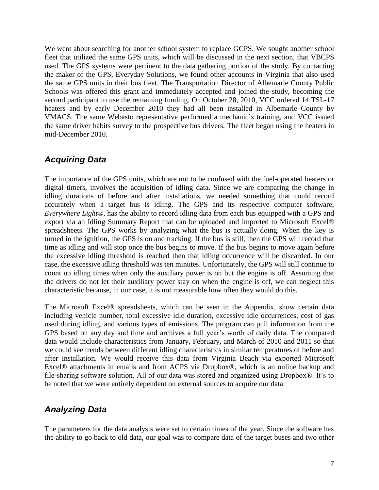We went about searching for another school system to replace GCPS. We sought another school fleet that utilized the same GPS units, which will be discussed in the next section, that VBCPS used. The GPS systems were pertinent to the data gathering portion of the study. By contacting the maker of the GPS, Everyday Solutions, we found other accounts in Virginia that also used the same GPS units in their bus fleet. The Transportation Director of Albemarle County Public Schools was offered this grant and immediately accepted and joined the study, becoming the second participant to use the remaining funding. On October 28, 2010, VCC ordered 14 TSL-17 heaters and by early December 2010 they had all been installed in Albemarle County by VMACS. The same Webasto representative performed a mechanic"s training, and VCC issued the same driver habits survey to the prospective bus drivers. The fleet began using the heaters in mid-December 2010.

### <span id="page-6-0"></span>*Acquiring Data*

The importance of the GPS units, which are not to be confused with the fuel-operated heaters or digital timers, involves the acquisition of idling data. Since we are comparing the change in idling durations of before and after installations, we needed something that could record accurately when a target bus is idling. The GPS and its respective computer software, *Everywhere Light*®, has the ability to record idling data from each bus equipped with a GPS and export via an Idling Summary Report that can be uploaded and imported to Microsoft Excel® spreadsheets. The GPS works by analyzing what the bus is actually doing. When the key is turned in the ignition, the GPS is on and tracking. If the bus is still, then the GPS will record that time as idling and will stop once the bus begins to move. If the bus begins to move again before the excessive idling threshold is reached then that idling occurrence will be discarded. In our case, the excessive idling threshold was ten minutes. Unfortunately, the GPS will still continue to count up idling times when only the auxiliary power is on but the engine is off. Assuming that the drivers do not let their auxiliary power stay on when the engine is off, we can neglect this characteristic because, in our case, it is not measurable how often they would do this.

The Microsoft Excel® spreadsheets, which can be seen in the Appendix, show certain data including vehicle number, total excessive idle duration, excessive idle occurrences, cost of gas used during idling, and various types of emissions. The program can pull information from the GPS based on any day and time and archives a full year"s worth of daily data. The compared data would include characteristics from January, February, and March of 2010 and 2011 so that we could see trends between different idling characteristics in similar temperatures of before and after installation. We would receive this data from Virginia Beach via exported Microsoft Excel® attachments in emails and from ACPS via Dropbox®, which is an online backup and file-sharing software solution. All of our data was stored and organized using Dropbox®. It's to be noted that we were entirely dependent on external sources to acquire our data.

## <span id="page-6-1"></span>*Analyzing Data*

The parameters for the data analysis were set to certain times of the year. Since the software has the ability to go back to old data, our goal was to compare data of the target buses and two other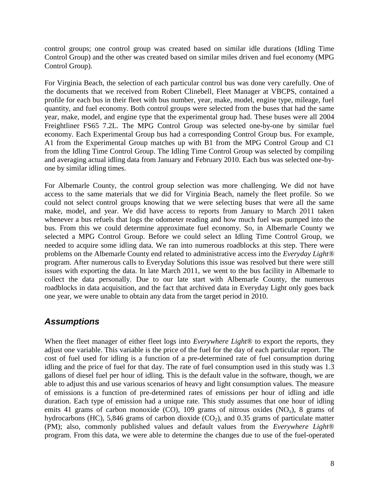control groups; one control group was created based on similar idle durations (Idling Time Control Group) and the other was created based on similar miles driven and fuel economy (MPG Control Group).

For Virginia Beach, the selection of each particular control bus was done very carefully. One of the documents that we received from Robert Clinebell, Fleet Manager at VBCPS, contained a profile for each bus in their fleet with bus number, year, make, model, engine type, mileage, fuel quantity, and fuel economy. Both control groups were selected from the buses that had the same year, make, model, and engine type that the experimental group had. These buses were all 2004 Freightliner FS65 7.2L. The MPG Control Group was selected one-by-one by similar fuel economy. Each Experimental Group bus had a corresponding Control Group bus. For example, A1 from the Experimental Group matches up with B1 from the MPG Control Group and C1 from the Idling Time Control Group. The Idling Time Control Group was selected by compiling and averaging actual idling data from January and February 2010. Each bus was selected one-byone by similar idling times.

For Albemarle County, the control group selection was more challenging. We did not have access to the same materials that we did for Virginia Beach, namely the fleet profile. So we could not select control groups knowing that we were selecting buses that were all the same make, model, and year. We did have access to reports from January to March 2011 taken whenever a bus refuels that logs the odometer reading and how much fuel was pumped into the bus. From this we could determine approximate fuel economy. So, in Albemarle County we selected a MPG Control Group. Before we could select an Idling Time Control Group, we needed to acquire some idling data. We ran into numerous roadblocks at this step. There were problems on the Albemarle County end related to administrative access into the *Everyday Light®* program. After numerous calls to Everyday Solutions this issue was resolved but there were still issues with exporting the data. In late March 2011, we went to the bus facility in Albemarle to collect the data personally. Due to our late start with Albemarle County, the numerous roadblocks in data acquisition, and the fact that archived data in Everyday Light only goes back one year, we were unable to obtain any data from the target period in 2010.

### <span id="page-7-0"></span>*Assumptions*

When the fleet manager of either fleet logs into *Everywhere Light*® to export the reports, they adjust one variable. This variable is the price of the fuel for the day of each particular report. The cost of fuel used for idling is a function of a pre-determined rate of fuel consumption during idling and the price of fuel for that day. The rate of fuel consumption used in this study was 1.3 gallons of diesel fuel per hour of idling. This is the default value in the software, though, we are able to adjust this and use various scenarios of heavy and light consumption values. The measure of emissions is a function of pre-determined rates of emissions per hour of idling and idle duration. Each type of emission had a unique rate. This study assumes that one hour of idling emits 41 grams of carbon monoxide (CO), 109 grams of nitrous oxides  $(NO<sub>x</sub>)$ , 8 grams of hydrocarbons (HC), 5,846 grams of carbon dioxide  $(CO<sub>2</sub>)$ , and 0.35 grams of particulate matter (PM); also, commonly published values and default values from the *Everywhere Light*® program. From this data, we were able to determine the changes due to use of the fuel-operated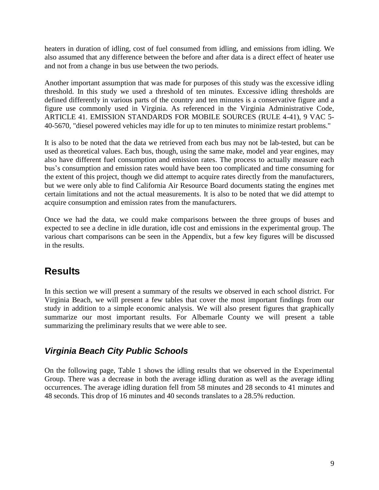heaters in duration of idling, cost of fuel consumed from idling, and emissions from idling. We also assumed that any difference between the before and after data is a direct effect of heater use and not from a change in bus use between the two periods.

Another important assumption that was made for purposes of this study was the excessive idling threshold. In this study we used a threshold of ten minutes. Excessive idling thresholds are defined differently in various parts of the country and ten minutes is a conservative figure and a figure use commonly used in Virginia. As referenced in the Virginia Administrative Code, ARTICLE 41. EMISSION STANDARDS FOR MOBILE SOURCES (RULE 4-41), 9 VAC 5- 40-5670, "diesel powered vehicles may idle for up to ten minutes to minimize restart problems."

It is also to be noted that the data we retrieved from each bus may not be lab-tested, but can be used as theoretical values. Each bus, though, using the same make, model and year engines, may also have different fuel consumption and emission rates. The process to actually measure each bus"s consumption and emission rates would have been too complicated and time consuming for the extent of this project, though we did attempt to acquire rates directly from the manufacturers, but we were only able to find California Air Resource Board documents stating the engines met certain limitations and not the actual measurements. It is also to be noted that we did attempt to acquire consumption and emission rates from the manufacturers.

Once we had the data, we could make comparisons between the three groups of buses and expected to see a decline in idle duration, idle cost and emissions in the experimental group. The various chart comparisons can be seen in the Appendix, but a few key figures will be discussed in the results.

# <span id="page-8-0"></span>**Results**

In this section we will present a summary of the results we observed in each school district. For Virginia Beach, we will present a few tables that cover the most important findings from our study in addition to a simple economic analysis. We will also present figures that graphically summarize our most important results. For Albemarle County we will present a table summarizing the preliminary results that we were able to see.

### <span id="page-8-1"></span>*Virginia Beach City Public Schools*

On the following page, Table 1 shows the idling results that we observed in the Experimental Group. There was a decrease in both the average idling duration as well as the average idling occurrences. The average idling duration fell from 58 minutes and 28 seconds to 41 minutes and 48 seconds. This drop of 16 minutes and 40 seconds translates to a 28.5% reduction.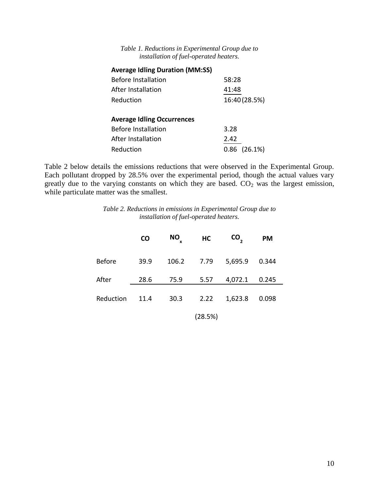| Table 1. Reductions in Experimental Group due to |  |
|--------------------------------------------------|--|
| installation of fuel-operated heaters.           |  |

| 58:28             |
|-------------------|
| 41:48             |
| 16:40 (28.5%)     |
|                   |
|                   |
| 3.28              |
| 2.42              |
| $0.86$ $(26.1\%)$ |
|                   |

Table 2 below details the emissions reductions that were observed in the Experimental Group. Each pollutant dropped by 28.5% over the experimental period, though the actual values vary greatly due to the varying constants on which they are based.  $CO<sub>2</sub>$  was the largest emission, while particulate matter was the smallest.

*Table 2. Reductions in emissions in Experimental Group due to installation of fuel-operated heaters.*

|               | <b>CO</b> | <b>NO</b><br>x | HC      | CO <sub>2</sub> | <b>PM</b> |  |
|---------------|-----------|----------------|---------|-----------------|-----------|--|
| <b>Before</b> | 39.9      | 106.2          | 7.79    | 5,695.9         | 0.344     |  |
| After         | 28.6      | 75.9           | 5.57    | 4,072.1         | 0.245     |  |
| Reduction     | 11.4      | 30.3           | 2.22    | 1,623.8         | 0.098     |  |
|               |           |                | (28.5%) |                 |           |  |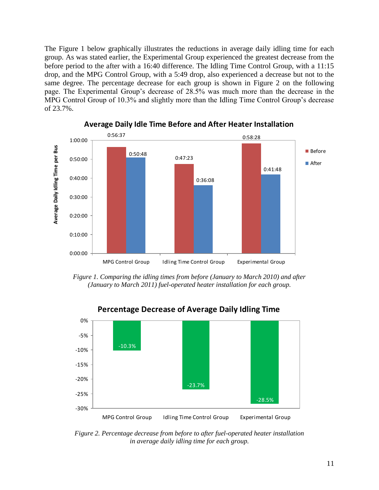The Figure 1 below graphically illustrates the reductions in average daily idling time for each group. As was stated earlier, the Experimental Group experienced the greatest decrease from the before period to the after with a 16:40 difference. The Idling Time Control Group, with a 11:15 drop, and the MPG Control Group, with a 5:49 drop, also experienced a decrease but not to the same degree. The percentage decrease for each group is shown in Figure 2 on the following page. The Experimental Group"s decrease of 28.5% was much more than the decrease in the MPG Control Group of 10.3% and slightly more than the Idling Time Control Group"s decrease of 23.7%.



**Average Daily Idle Time Before and After Heater Installation**

*Figure 1. Comparing the idling times from before (January to March 2010) and after (January to March 2011) fuel-operated heater installation for each group.*



**Percentage Decrease of Average Daily Idling Time**

*Figure 2. Percentage decrease from before to after fuel-operated heater installation in average daily idling time for each group.*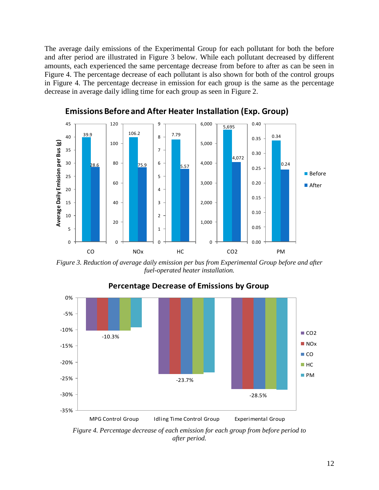The average daily emissions of the Experimental Group for each pollutant for both the before and after period are illustrated in Figure 3 below. While each pollutant decreased by different amounts, each experienced the same percentage decrease from before to after as can be seen in Figure 4. The percentage decrease of each pollutant is also shown for both of the control groups in Figure 4. The percentage decrease in emission for each group is the same as the percentage decrease in average daily idling time for each group as seen in Figure 2.



**Emissions Before and After Heater Installation (Exp. Group)**

*Figure 3. Reduction of average daily emission per bus from Experimental Group before and after fuel-operated heater installation.*



#### **Percentage Decrease of Emissions by Group**

*Figure 4. Percentage decrease of each emission for each group from before period to after period.*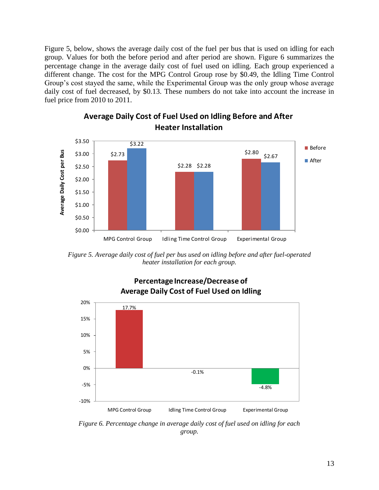Figure 5, below, shows the average daily cost of the fuel per bus that is used on idling for each group. Values for both the before period and after period are shown. Figure 6 summarizes the percentage change in the average daily cost of fuel used on idling. Each group experienced a different change. The cost for the MPG Control Group rose by \$0.49, the Idling Time Control Group"s cost stayed the same, while the Experimental Group was the only group whose average daily cost of fuel decreased, by \$0.13. These numbers do not take into account the increase in fuel price from 2010 to 2011.



### **Average Daily Cost of Fuel Used on Idling Before and After Heater Installation**

*Figure 5. Average daily cost of fuel per bus used on idling before and after fuel-operated heater installation for each group.*



**Percentage Increase/Decrease of Average Daily Cost of Fuel Used on Idling**

*Figure 6. Percentage change in average daily cost of fuel used on idling for each group.*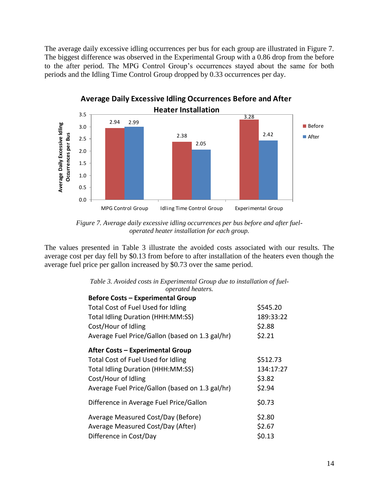The average daily excessive idling occurrences per bus for each group are illustrated in Figure 7. The biggest difference was observed in the Experimental Group with a 0.86 drop from the before to the after period. The MPG Control Group"s occurrences stayed about the same for both periods and the Idling Time Control Group dropped by 0.33 occurrences per day.



*Figure 7. Average daily excessive idling occurrences per bus before and after fueloperated heater installation for each group.*

The values presented in Table 3 illustrate the avoided costs associated with our results. The average cost per day fell by \$0.13 from before to after installation of the heaters even though the average fuel price per gallon increased by \$0.73 over the same period.

| <i>operated neaters.</i>                        |           |
|-------------------------------------------------|-----------|
| <b>Before Costs - Experimental Group</b>        |           |
| <b>Total Cost of Fuel Used for Idling</b>       | \$545.20  |
| <b>Total Idling Duration (HHH:MM:SS)</b>        | 189:33:22 |
| Cost/Hour of Idling                             | \$2.88    |
| Average Fuel Price/Gallon (based on 1.3 gal/hr) | \$2.21    |
| <b>After Costs - Experimental Group</b>         |           |
| Total Cost of Fuel Used for Idling              | \$512.73  |
| <b>Total Idling Duration (HHH:MM:SS)</b>        | 134:17:27 |
| Cost/Hour of Idling                             | \$3.82    |
| Average Fuel Price/Gallon (based on 1.3 gal/hr) | \$2.94    |
| Difference in Average Fuel Price/Gallon         | \$0.73    |
| Average Measured Cost/Day (Before)              | \$2.80    |
| Average Measured Cost/Day (After)               | \$2.67    |
| Difference in Cost/Day                          | \$0.13    |

|  | Table 3. Avoided costs in Experimental Group due to installation of fuel- |  |  |
|--|---------------------------------------------------------------------------|--|--|
|  | <i>operated heaters.</i>                                                  |  |  |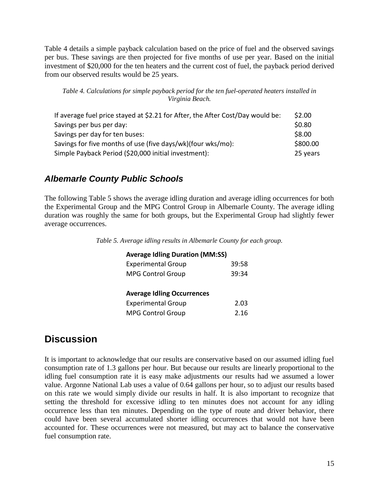Table 4 details a simple payback calculation based on the price of fuel and the observed savings per bus. These savings are then projected for five months of use per year. Based on the initial investment of \$20,000 for the ten heaters and the current cost of fuel, the payback period derived from our observed results would be 25 years.

*Table 4. Calculations for simple payback period for the ten fuel-operated heaters installed in Virginia Beach.*

| If average fuel price stayed at \$2.21 for After, the After Cost/Day would be: | \$2.00   |
|--------------------------------------------------------------------------------|----------|
| Savings per bus per day:                                                       | \$0.80   |
| Savings per day for ten buses:                                                 | \$8.00   |
| Savings for five months of use (five days/wk)(four wks/mo):                    | \$800.00 |
| Simple Payback Period (\$20,000 initial investment):                           | 25 years |

### <span id="page-14-0"></span>*Albemarle County Public Schools*

The following Table 5 shows the average idling duration and average idling occurrences for both the Experimental Group and the MPG Control Group in Albemarle County. The average idling duration was roughly the same for both groups, but the Experimental Group had slightly fewer average occurrences.

*Table 5. Average idling results in Albemarle County for each group.*

#### **Average Idling Duration (MM:SS)**

| <b>Experimental Group</b>         | 39:58 |
|-----------------------------------|-------|
| <b>MPG Control Group</b>          | 39:34 |
|                                   |       |
| <b>Average Idling Occurrences</b> |       |
| <b>Experimental Group</b>         | 2.03  |
| <b>MPG Control Group</b>          | 2.16  |

## <span id="page-14-1"></span>**Discussion**

It is important to acknowledge that our results are conservative based on our assumed idling fuel consumption rate of 1.3 gallons per hour. But because our results are linearly proportional to the idling fuel consumption rate it is easy make adjustments our results had we assumed a lower value. Argonne National Lab uses a value of 0.64 gallons per hour, so to adjust our results based on this rate we would simply divide our results in half. It is also important to recognize that setting the threshold for excessive idling to ten minutes does not account for any idling occurrence less than ten minutes. Depending on the type of route and driver behavior, there could have been several accumulated shorter idling occurrences that would not have been accounted for. These occurrences were not measured, but may act to balance the conservative fuel consumption rate.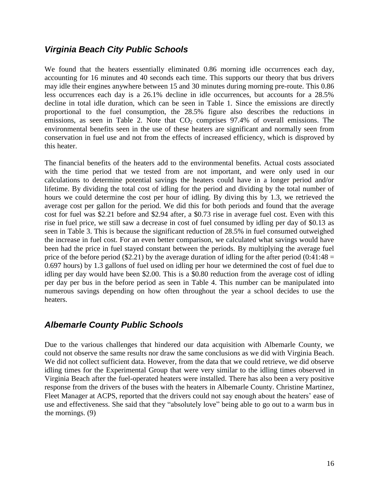### <span id="page-15-0"></span>*Virginia Beach City Public Schools*

We found that the heaters essentially eliminated 0.86 morning idle occurrences each day, accounting for 16 minutes and 40 seconds each time. This supports our theory that bus drivers may idle their engines anywhere between 15 and 30 minutes during morning pre-route. This 0.86 less occurrences each day is a 26.1% decline in idle occurrences, but accounts for a 28.5% decline in total idle duration, which can be seen in Table 1. Since the emissions are directly proportional to the fuel consumption, the 28.5% figure also describes the reductions in emissions, as seen in Table 2. Note that  $CO<sub>2</sub>$  comprises 97.4% of overall emissions. The environmental benefits seen in the use of these heaters are significant and normally seen from conservation in fuel use and not from the effects of increased efficiency, which is disproved by this heater.

The financial benefits of the heaters add to the environmental benefits. Actual costs associated with the time period that we tested from are not important, and were only used in our calculations to determine potential savings the heaters could have in a longer period and/or lifetime. By dividing the total cost of idling for the period and dividing by the total number of hours we could determine the cost per hour of idling. By diving this by 1.3, we retrieved the average cost per gallon for the period. We did this for both periods and found that the average cost for fuel was \$2.21 before and \$2.94 after, a \$0.73 rise in average fuel cost. Even with this rise in fuel price, we still saw a decrease in cost of fuel consumed by idling per day of \$0.13 as seen in Table 3. This is because the significant reduction of 28.5% in fuel consumed outweighed the increase in fuel cost. For an even better comparison, we calculated what savings would have been had the price in fuel stayed constant between the periods. By multiplying the average fuel price of the before period (\$2.21) by the average duration of idling for the after period (0:41:48 = 0.697 hours) by 1.3 gallons of fuel used on idling per hour we determined the cost of fuel due to idling per day would have been \$2.00. This is a \$0.80 reduction from the average cost of idling per day per bus in the before period as seen in Table 4. This number can be manipulated into numerous savings depending on how often throughout the year a school decides to use the heaters.

#### <span id="page-15-1"></span>*Albemarle County Public Schools*

Due to the various challenges that hindered our data acquisition with Albemarle County, we could not observe the same results nor draw the same conclusions as we did with Virginia Beach. We did not collect sufficient data. However, from the data that we could retrieve, we did observe idling times for the Experimental Group that were very similar to the idling times observed in Virginia Beach after the fuel-operated heaters were installed. There has also been a very positive response from the drivers of the buses with the heaters in Albemarle County. Christine Martinez, Fleet Manager at ACPS, reported that the drivers could not say enough about the heaters' ease of use and effectiveness. She said that they "absolutely love" being able to go out to a warm bus in the mornings. (9)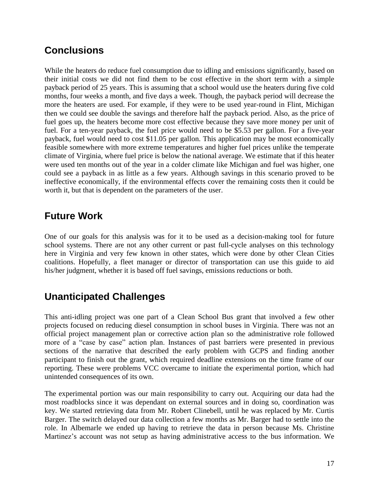# <span id="page-16-0"></span>**Conclusions**

While the heaters do reduce fuel consumption due to idling and emissions significantly, based on their initial costs we did not find them to be cost effective in the short term with a simple payback period of 25 years. This is assuming that a school would use the heaters during five cold months, four weeks a month, and five days a week. Though, the payback period will decrease the more the heaters are used. For example, if they were to be used year-round in Flint, Michigan then we could see double the savings and therefore half the payback period. Also, as the price of fuel goes up, the heaters become more cost effective because they save more money per unit of fuel. For a ten-year payback, the fuel price would need to be \$5.53 per gallon. For a five-year payback, fuel would need to cost \$11.05 per gallon. This application may be most economically feasible somewhere with more extreme temperatures and higher fuel prices unlike the temperate climate of Virginia, where fuel price is below the national average. We estimate that if this heater were used ten months out of the year in a colder climate like Michigan and fuel was higher, one could see a payback in as little as a few years. Although savings in this scenario proved to be ineffective economically, if the environmental effects cover the remaining costs then it could be worth it, but that is dependent on the parameters of the user.

# <span id="page-16-1"></span>**Future Work**

One of our goals for this analysis was for it to be used as a decision-making tool for future school systems. There are not any other current or past full-cycle analyses on this technology here in Virginia and very few known in other states, which were done by other Clean Cities coalitions. Hopefully, a fleet manager or director of transportation can use this guide to aid his/her judgment, whether it is based off fuel savings, emissions reductions or both.

# <span id="page-16-2"></span>**Unanticipated Challenges**

This anti-idling project was one part of a Clean School Bus grant that involved a few other projects focused on reducing diesel consumption in school buses in Virginia. There was not an official project management plan or corrective action plan so the administrative role followed more of a "case by case" action plan. Instances of past barriers were presented in previous sections of the narrative that described the early problem with GCPS and finding another participant to finish out the grant, which required deadline extensions on the time frame of our reporting. These were problems VCC overcame to initiate the experimental portion, which had unintended consequences of its own.

The experimental portion was our main responsibility to carry out. Acquiring our data had the most roadblocks since it was dependant on external sources and in doing so, coordination was key. We started retrieving data from Mr. Robert Clinebell, until he was replaced by Mr. Curtis Barger. The switch delayed our data collection a few months as Mr. Barger had to settle into the role. In Albemarle we ended up having to retrieve the data in person because Ms. Christine Martinez's account was not setup as having administrative access to the bus information. We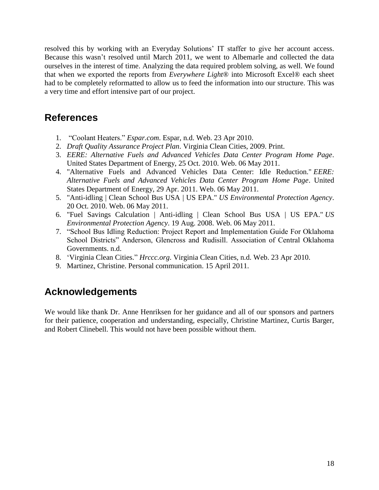resolved this by working with an Everyday Solutions" IT staffer to give her account access. Because this wasn't resolved until March 2011, we went to Albemarle and collected the data ourselves in the interest of time. Analyzing the data required problem solving, as well. We found that when we exported the reports from *Everywhere Light*® into Microsoft Excel® each sheet had to be completely reformatted to allow us to feed the information into our structure. This was a very time and effort intensive part of our project.

## <span id="page-17-0"></span>**References**

- 1. "Coolant Heaters." *Espar.com*. Espar, n.d. Web. 23 Apr 2010.
- 2. *Draft Quality Assurance Project Plan*. Virginia Clean Cities, 2009. Print.
- 3. *EERE: Alternative Fuels and Advanced Vehicles Data Center Program Home Page*. United States Department of Energy, 25 Oct. 2010. Web. 06 May 2011.
- 4. "Alternative Fuels and Advanced Vehicles Data Center: Idle Reduction." *EERE: Alternative Fuels and Advanced Vehicles Data Center Program Home Page*. United States Department of Energy, 29 Apr. 2011. Web. 06 May 2011.
- 5. "Anti-idling | Clean School Bus USA | US EPA." *US Environmental Protection Agency*. 20 Oct. 2010. Web. 06 May 2011.
- 6. "Fuel Savings Calculation | Anti-idling | Clean School Bus USA | US EPA." *US Environmental Protection Agency*. 19 Aug. 2008. Web. 06 May 2011.
- 7. "School Bus Idling Reduction: Project Report and Implementation Guide For Oklahoma School Districts" Anderson, Glencross and Rudisill. Association of Central Oklahoma Governments. n.d.
- 8. "Virginia Clean Cities." *Hrccc.org*. Virginia Clean Cities, n.d. Web. 23 Apr 2010.
- 9. Martinez, Christine. Personal communication. 15 April 2011.

## <span id="page-17-1"></span>**Acknowledgements**

We would like thank Dr. Anne Henriksen for her guidance and all of our sponsors and partners for their patience, cooperation and understanding, especially, Christine Martinez, Curtis Barger, and Robert Clinebell. This would not have been possible without them.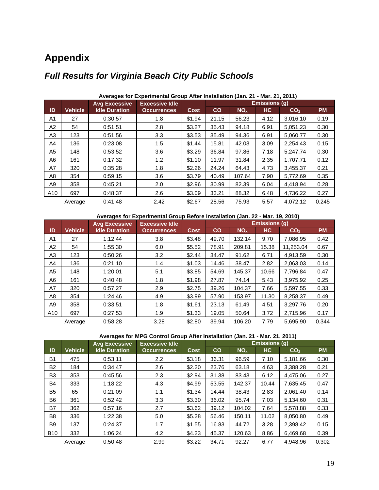# <span id="page-18-0"></span>**Appendix**

<span id="page-18-1"></span>

|     |                | <b>Avg Excessive</b> | <b>Excessive Idle</b> |             | <b>Emissions (g)</b> |                 |      |                 |           |
|-----|----------------|----------------------|-----------------------|-------------|----------------------|-----------------|------|-----------------|-----------|
| ID  | <b>Vehicle</b> | <b>Idle Duration</b> | <b>Occurrences</b>    | <b>Cost</b> | $\mathbf{co}$        | NO <sub>x</sub> | HC   | CO <sub>2</sub> | <b>PM</b> |
| A1  | 27             | 0:30:57              | 1.8                   | \$1.94      | 21.15                | 56.23           | 4.12 | 3,016.10        | 0.19      |
| A2  | 54             | 0:51:51              | 2.8                   | \$3.27      | 35.43                | 94.18           | 6.91 | 5,051.23        | 0.30      |
| A3  | 123            | 0:51:56              | 3.3                   | \$3.53      | 35.49                | 94.36           | 6.91 | 5,060.77        | 0.30      |
| A4  | 136            | 0:23:08              | 1.5                   | \$1.44      | 15.81                | 42.03           | 3.09 | 2.254.43        | 0.15      |
| A5  | 148            | 0:53:52              | 3.6                   | \$3.29      | 36.84                | 97.86           | 7.18 | 5,247.74        | 0.30      |
| A6  | 161            | 0:17:32              | 1.2                   | \$1.10      | 11.97                | 31.84           | 2.35 | 1.707.71        | 0.12      |
| A7  | 320            | 0:35:28              | 1.8                   | \$2.26      | 24.24                | 64.43           | 4.73 | 3,455.37        | 0.21      |
| A8  | 354            | 0:59:15              | 3.6                   | \$3.79      | 40.49                | 107.64          | 7.90 | 5,772.69        | 0.35      |
| A9  | 358            | 0:45:21              | 2.0                   | \$2.96      | 30.99                | 82.39           | 6.04 | 4,418.94        | 0.28      |
| A10 | 697            | 0:48:37              | 2.6                   | \$3.09      | 33.21                | 88.32           | 6.48 | 4,736.22        | 0.27      |
|     | Average        | 0:41:48              | 2.42                  | \$2.67      | 28.56                | 75.93           | 5.57 | 4.072.12        | 0.245     |

#### **Averages for Experimental Group After Installation (Jan. 21 - Mar. 21, 2011)**

**Averages for Experimental Group Before Installation (Jan. 22 - Mar. 19, 2010)**

|     |                | <b>Avg Excessive</b> | <b>Excessive Idle</b> |             | <b>Emissions (g)</b> |                 |           |                 |           |
|-----|----------------|----------------------|-----------------------|-------------|----------------------|-----------------|-----------|-----------------|-----------|
| ID  | <b>Vehicle</b> | <b>Idle Duration</b> | <b>Occurrences</b>    | <b>Cost</b> | CO                   | NO <sub>x</sub> | <b>HC</b> | CO <sub>2</sub> | <b>PM</b> |
| A1  | 27             | 1:12:44              | 3.8                   | \$3.48      | 49.70                | 132.14          | 9.70      | 7.086.95        | 0.42      |
| A2  | 54             | 1:55:30              | 6.0                   | \$5.52      | 78.91                | 209.81          | 15.38     | 11.253.04       | 0.67      |
| A3  | 123            | 0:50:26              | 3.2                   | \$2.44      | 34.47                | 91.62           | 6.71      | 4,913.59        | 0.30      |
| A4  | 136            | 0:21:10              | 1.4                   | \$1.03      | 14.46                | 38.47           | 2.82      | 2.063.03        | 0.14      |
| A5  | 148            | 1:20:01              | 5.1                   | \$3.85      | 54.69                | 145.37          | 10.66     | 7.796.84        | 0.47      |
| A6  | 161            | 0:40:48              | 1.8                   | \$1.98      | 27.87                | 74.14           | 5.43      | 3.975.92        | 0.25      |
| A7  | 320            | 0:57:27              | 2.9                   | \$2.75      | 39.26                | 104.37          | 7.66      | 5,597.55        | 0.33      |
| A8  | 354            | 1:24:46              | 4.9                   | \$3.99      | 57.90                | 153.97          | 11.30     | 8,258.37        | 0.49      |
| A9  | 358            | 0:33:51              | 1.8                   | \$1.61      | 23.13                | 61.49           | 4.51      | 3.297.76        | 0.20      |
| A10 | 697            | 0:27:53              | 1.9                   | \$1.33      | 19.05                | 50.64           | 3.72      | 2,715.96        | 0.17      |
|     | Average        | 0:58:28              | 3.28                  | \$2.80      | 39.94                | 106.20          | 7.79      | 5.695.90        | 0.344     |

#### **Averages for MPG Control Group After Installation (Jan. 21 - Mar. 21, 2011)**

|            |                | <b>Avg Excessive</b> | <b>Excessive Idle</b> |             | <b>Emissions (g)</b> |                 |       |                 |           |
|------------|----------------|----------------------|-----------------------|-------------|----------------------|-----------------|-------|-----------------|-----------|
| ID         | <b>Vehicle</b> | <b>Idle Duration</b> | <b>Occurrences</b>    | <b>Cost</b> | CO                   | NO <sub>x</sub> | HC    | CO <sub>2</sub> | <b>PM</b> |
| <b>B1</b>  | 475            | 0:53:11              | $2.2\phantom{0}$      | \$3.18      | 36.31                | 96.59           | 7.10  | 5,181.66        | 0.30      |
| <b>B2</b>  | 184            | 0:34:47              | 2.6                   | \$2.20      | 23.76                | 63.18           | 4.63  | 3,388.28        | 0.21      |
| B3         | 353            | 0:45:56              | 2.3                   | \$2.94      | 31.38                | 83.43           | 6.12  | 4,475.06        | 0.27      |
| <b>B4</b>  | 333            | 1:18:22              | 4.3                   | \$4.99      | 53.55                | 142.37          | 10.44 | 7,635.45        | 0.47      |
| <b>B5</b>  | 65             | 0:21:09              | 1.1                   | \$1.34      | 14.44                | 38.43           | 2.83  | 2.061.40        | 0.14      |
| <b>B6</b>  | 361            | 0:52:42              | 3.3                   | \$3.30      | 36.02                | 95.74           | 7.03  | 5,134.60        | 0.31      |
| B7         | 362            | 0:57:16              | 2.7                   | \$3.62      | 39.12                | 104.02          | 7.64  | 5,578.88        | 0.33      |
| B8         | 336            | 1:22:38              | 5.0                   | \$5.28      | 56.46                | 150.11          | 11.02 | 8,050.80        | 0.49      |
| <b>B</b> 9 | 137            | 0:24:37              | 1.7                   | \$1.55      | 16.83                | 44.72           | 3.28  | 2,398.42        | 0.15      |
| <b>B10</b> | 332            | 1:06:24              | 4.2                   | \$4.23      | 45.37                | 120.63          | 8.86  | 6,469.68        | 0.39      |
|            | Average        | 0:50:48              | 2.99                  | \$3.22      | 34.71                | 92.27           | 6.77  | 4.948.96        | 0.302     |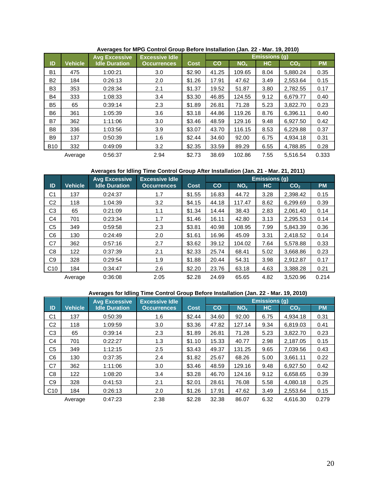|                |                | <b>Avg Excessive</b> | <b>Excessive Idle</b> |             | <b>Emissions (g)</b> |                 |           |                 |           |
|----------------|----------------|----------------------|-----------------------|-------------|----------------------|-----------------|-----------|-----------------|-----------|
| ID             | <b>Vehicle</b> | <b>Idle Duration</b> | <b>Occurrences</b>    | <b>Cost</b> | CO                   | NO <sub>x</sub> | <b>HC</b> | CO <sub>2</sub> | <b>PM</b> |
| <b>B1</b>      | 475            | 1:00:21              | 3.0                   | \$2.90      | 41.25                | 109.65          | 8.04      | 5.880.24        | 0.35      |
| <b>B2</b>      | 184            | 0:26:13              | 2.0                   | \$1.26      | 17.91                | 47.62           | 3.49      | 2,553.64        | 0.15      |
| B <sub>3</sub> | 353            | 0:28:34              | 2.1                   | \$1.37      | 19.52                | 51.87           | 3.80      | 2,782.55        | 0.17      |
| <b>B4</b>      | 333            | 1:08:33              | 3.4                   | \$3.30      | 46.85                | 124.55          | 9.12      | 6.679.77        | 0.40      |
| <b>B5</b>      | 65             | 0:39:14              | 2.3                   | \$1.89      | 26.81                | 71.28           | 5.23      | 3,822.70        | 0.23      |
| B6             | 361            | 1:05:39              | 3.6                   | \$3.18      | 44.86                | 119.26          | 8.76      | 6.396.11        | 0.40      |
| B7             | 362            | 1:11:06              | 3.0                   | \$3.46      | 48.59                | 129.16          | 9.48      | 6.927.50        | 0.42      |
| B8             | 336            | 1:03:56              | 3.9                   | \$3.07      | 43.70                | 116.15          | 8.53      | 6,229.88        | 0.37      |
| B <sub>9</sub> | 137            | 0:50:39              | 1.6                   | \$2.44      | 34.60                | 92.00           | 6.75      | 4.934.18        | 0.31      |
| <b>B10</b>     | 332            | 0:49:09              | 3.2                   | \$2.35      | 33.59                | 89.29           | 6.55      | 4,788.85        | 0.28      |
|                | Average        | 0:56:37              | 2.94                  | \$2.73      | 38.69                | 102.86          | 7.55      | 5.516.54        | 0.333     |

**Averages for MPG Control Group Before Installation (Jan. 22 - Mar. 19, 2010)**

**Averages for Idling Time Control Group After Installation (Jan. 21 - Mar. 21, 2011)**

|     |                | <b>Avg Excessive</b> | <b>Excessive Idle</b> |             | <b>Emissions (g)</b> |                 |      |                 |           |
|-----|----------------|----------------------|-----------------------|-------------|----------------------|-----------------|------|-----------------|-----------|
| ID  | <b>Vehicle</b> | <b>Idle Duration</b> | <b>Occurrences</b>    | <b>Cost</b> | CO                   | NO <sub>x</sub> | HC.  | CO <sub>2</sub> | <b>PM</b> |
| C1  | 137            | 0:24:37              | 1.7                   | \$1.55      | 16.83                | 44.72           | 3.28 | 2.398.42        | 0.15      |
| C2  | 118            | 1:04:39              | 3.2                   | \$4.15      | 44.18                | 117.47          | 8.62 | 6,299.69        | 0.39      |
| C3  | 65             | 0:21:09              | 1.1                   | \$1.34      | 14.44                | 38.43           | 2.83 | 2.061.40        | 0.14      |
| C4  | 701            | 0:23:34              | 1.7                   | \$1.46      | 16.11                | 42.80           | 3.13 | 2.295.53        | 0.14      |
| C5  | 349            | 0:59:58              | 2.3                   | \$3.81      | 40.98                | 108.95          | 7.99 | 5.843.39        | 0.36      |
| C6  | 130            | 0:24:49              | 2.0                   | \$1.61      | 16.96                | 45.09           | 3.31 | 2.418.52        | 0.14      |
| C7  | 362            | 0:57:16              | 2.7                   | \$3.62      | 39.12                | 104.02          | 7.64 | 5,578.88        | 0.33      |
| C8  | 122            | 0:37:39              | 2.1                   | \$2.33      | 25.74                | 68.41           | 5.02 | 3,668.86        | 0.23      |
| C9  | 328            | 0:29:54              | 1.9                   | \$1.88      | 20.44                | 54.31           | 3.98 | 2,912.87        | 0.17      |
| C10 | 184            | 0:34:47              | 2.6                   | \$2.20      | 23.76                | 63.18           | 4.63 | 3,388.28        | 0.21      |
|     | Average        | 0:36:08              | 2.05                  | \$2.28      | 24.69                | 65.65           | 4.82 | 3.520.96        | 0.214     |

**Averages for Idling Time Control Group Before Installation (Jan. 22 - Mar. 19, 2010)**

|                 |                | <b>Avg Excessive</b> | <b>Excessive Idle</b> |             | <b>Emissions (g)</b> |                 |      |                 |           |
|-----------------|----------------|----------------------|-----------------------|-------------|----------------------|-----------------|------|-----------------|-----------|
| ID              | <b>Vehicle</b> | <b>Idle Duration</b> | <b>Occurrences</b>    | <b>Cost</b> | $\mathbf{co}$        | NO <sub>x</sub> | HC   | CO <sub>2</sub> | <b>PM</b> |
| C1              | 137            | 0:50:39              | 1.6                   | \$2.44      | 34.60                | 92.00           | 6.75 | 4.934.18        | 0.31      |
| C2              | 118            | 1:09:59              | 3.0                   | \$3.36      | 47.82                | 127.14          | 9.34 | 6.819.03        | 0.41      |
| C3              | 65             | 0:39:14              | 2.3                   | \$1.89      | 26.81                | 71.28           | 5.23 | 3,822.70        | 0.23      |
| C4              | 701            | 0:22:27              | 1.3                   | \$1.10      | 15.33                | 40.77           | 2.98 | 2,187.05        | 0.15      |
| C5              | 349            | 1:12:15              | 2.5                   | \$3.43      | 49.37                | 131.25          | 9.65 | 7.039.56        | 0.43      |
| C6              | 130            | 0:37:35              | 2.4                   | \$1.82      | 25.67                | 68.26           | 5.00 | 3.661.11        | 0.22      |
| C7              | 362            | 1:11:06              | 3.0                   | \$3.46      | 48.59                | 129.16          | 9.48 | 6.927.50        | 0.42      |
| C8              | 122            | 1:08:20              | 3.4                   | \$3.28      | 46.70                | 124.16          | 9.12 | 6,658.65        | 0.39      |
| C9              | 328            | 0:41:53              | 2.1                   | \$2.01      | 28.61                | 76.08           | 5.58 | 4.080.18        | 0.25      |
| C <sub>10</sub> | 184            | 0:26:13              | 2.0                   | \$1.26      | 17.91                | 47.62           | 3.49 | 2,553.64        | 0.15      |
|                 | Average        | 0:47:23              | 2.38                  | \$2.28      | 32.38                | 86.07           | 6.32 | 4.616.30        | 0.279     |